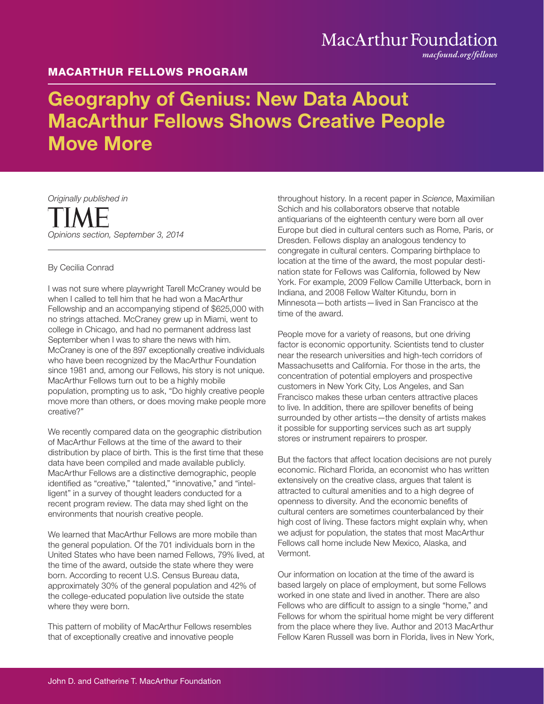## MacArthur Foundation

*macfound.org/fellows*

### MACARTHUR FELLOWS PROGRAM

# Geography of Genius: New Data About MacArthur Fellows Shows Creative People Move More

*Originally published in Opinions section, September 3, 2014*

### By Cecilia Conrad

I was not sure where playwright Tarell McCraney would be when I called to tell him that he had won a MacArthur Fellowship and an accompanying stipend of \$625,000 with no strings attached. McCraney grew up in Miami, went to college in Chicago, and had no permanent address last September when I was to share the news with him. McCraney is one of the 897 exceptionally creative individuals who have been recognized by the MacArthur Foundation since 1981 and, among our Fellows, his story is not unique. MacArthur Fellows turn out to be a highly mobile population, prompting us to ask, "Do highly creative people move more than others, or does moving make people more creative?"

We recently compared data on the geographic distribution of MacArthur Fellows at the time of the award to their distribution by place of birth. This is the first time that these data have been compiled and made available publicly. MacArthur Fellows are a distinctive demographic, people identified as "creative," "talented," "innovative," and "intelligent" in a survey of thought leaders conducted for a recent program review. The data may shed light on the environments that nourish creative people.

We learned that MacArthur Fellows are more mobile than the general population. Of the 701 individuals born in the United States who have been named Fellows, 79% lived, at the time of the award, outside the state where they were born. According to recent U.S. Census Bureau data, approximately 30% of the general population and 42% of the college-educated population live outside the state where they were born.

This pattern of mobility of MacArthur Fellows resembles that of exceptionally creative and innovative people

throughout history. In a recent paper in *Science*, Maximilian Schich and his collaborators observe that notable antiquarians of the eighteenth century were born all over Europe but died in cultural centers such as Rome, Paris, or Dresden. Fellows display an analogous tendency to congregate in cultural centers. Comparing birthplace to location at the time of the award, the most popular destination state for Fellows was California, followed by New York. For example, 2009 Fellow Camille Utterback, born in Indiana, and 2008 Fellow Walter Kitundu, born in Minnesota—both artists—lived in San Francisco at the time of the award.

People move for a variety of reasons, but one driving factor is economic opportunity. Scientists tend to cluster near the research universities and high-tech corridors of Massachusetts and California. For those in the arts, the concentration of potential employers and prospective customers in New York City, Los Angeles, and San Francisco makes these urban centers attractive places to live. In addition, there are spillover benefits of being surrounded by other artists—the density of artists makes it possible for supporting services such as art supply stores or instrument repairers to prosper.

But the factors that affect location decisions are not purely economic. Richard Florida, an economist who has written extensively on the creative class, argues that talent is attracted to cultural amenities and to a high degree of openness to diversity. And the economic benefits of cultural centers are sometimes counterbalanced by their high cost of living. These factors might explain why, when we adjust for population, the states that most MacArthur Fellows call home include New Mexico, Alaska, and Vermont.

Our information on location at the time of the award is based largely on place of employment, but some Fellows worked in one state and lived in another. There are also Fellows who are difficult to assign to a single "home," and Fellows for whom the spiritual home might be very different from the place where they live. Author and 2013 MacArthur Fellow Karen Russell was born in Florida, lives in New York,